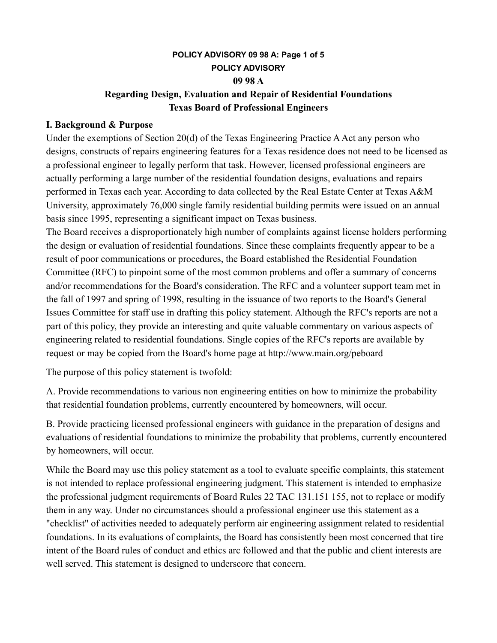# **POLICY ADVISORY 09 98 A: Page 1 of 5 POLICY ADVISORY 09 98 A Regarding Design, Evaluation and Repair of Residential Foundations Texas Board of Professional Engineers**

### **I. Background & Purpose**

Under the exemptions of Section 20(d) of the Texas Engineering Practice A Act any person who designs, constructs of repairs engineering features for a Texas residence does not need to be licensed as a professional engineer to legally perform that task. However, licensed professional engineers are actually performing a large number of the residential foundation designs, evaluations and repairs performed in Texas each year. According to data collected by the Real Estate Center at Texas A&M University, approximately 76,000 single family residential building permits were issued on an annual basis since 1995, representing a significant impact on Texas business.

The Board receives a disproportionately high number of complaints against license holders performing the design or evaluation of residential foundations. Since these complaints frequently appear to be a result of poor communications or procedures, the Board established the Residential Foundation Committee (RFC) to pinpoint some of the most common problems and offer a summary of concerns and/or recommendations for the Board's consideration. The RFC and a volunteer support team met in the fall of 1997 and spring of 1998, resulting in the issuance of two reports to the Board's General Issues Committee for staff use in drafting this policy statement. Although the RFC's reports are not a part of this policy, they provide an interesting and quite valuable commentary on various aspects of engineering related to residential foundations. Single copies of the RFC's reports are available by request or may be copied from the Board's home page at http://www.main.org/peboard

The purpose of this policy statement is twofold:

A. Provide recommendations to various non engineering entities on how to minimize the probability that residential foundation problems, currently encountered by homeowners, will occur.

B. Provide practicing licensed professional engineers with guidance in the preparation of designs and evaluations of residential foundations to minimize the probability that problems, currently encountered by homeowners, will occur.

While the Board may use this policy statement as a tool to evaluate specific complaints, this statement is not intended to replace professional engineering judgment. This statement is intended to emphasize the professional judgment requirements of Board Rules 22 TAC 131.151 155, not to replace or modify them in any way. Under no circumstances should a professional engineer use this statement as a "checklist" of activities needed to adequately perform air engineering assignment related to residential foundations. In its evaluations of complaints, the Board has consistently been most concerned that tire intent of the Board rules of conduct and ethics arc followed and that the public and client interests are well served. This statement is designed to underscore that concern.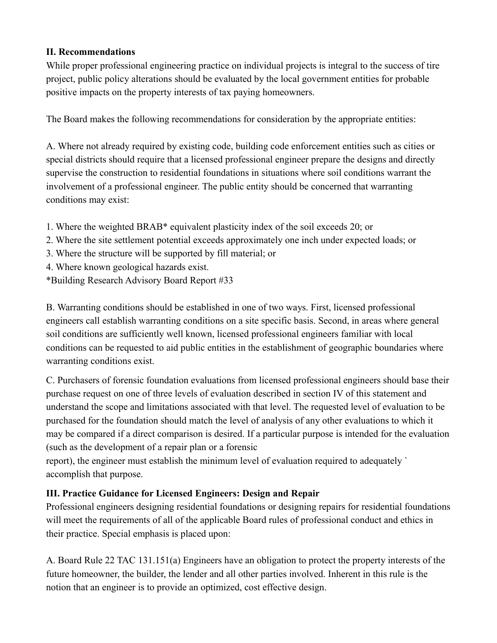## **II. Recommendations**

While proper professional engineering practice on individual projects is integral to the success of tire project, public policy alterations should be evaluated by the local government entities for probable positive impacts on the property interests of tax paying homeowners.

The Board makes the following recommendations for consideration by the appropriate entities:

A. Where not already required by existing code, building code enforcement entities such as cities or special districts should require that a licensed professional engineer prepare the designs and directly supervise the construction to residential foundations in situations where soil conditions warrant the involvement of a professional engineer. The public entity should be concerned that warranting conditions may exist:

- 1. Where the weighted BRAB\* equivalent plasticity index of the soil exceeds 20; or
- 2. Where the site settlement potential exceeds approximately one inch under expected loads; or
- 3. Where the structure will be supported by fill material; or
- 4. Where known geological hazards exist.
- \*Building Research Advisory Board Report #33

B. Warranting conditions should be established in one of two ways. First, licensed professional engineers call establish warranting conditions on a site specific basis. Second, in areas where general soil conditions are sufficiently well known, licensed professional engineers familiar with local conditions can be requested to aid public entities in the establishment of geographic boundaries where warranting conditions exist.

C. Purchasers of forensic foundation evaluations from licensed professional engineers should base their purchase request on one of three levels of evaluation described in section IV of this statement and understand the scope and limitations associated with that level. The requested level of evaluation to be purchased for the foundation should match the level of analysis of any other evaluations to which it may be compared if a direct comparison is desired. If a particular purpose is intended for the evaluation (such as the development of a repair plan or a forensic

report), the engineer must establish the minimum level of evaluation required to adequately ` accomplish that purpose.

# **III. Practice Guidance for Licensed Engineers: Design and Repair**

Professional engineers designing residential foundations or designing repairs for residential foundations will meet the requirements of all of the applicable Board rules of professional conduct and ethics in their practice. Special emphasis is placed upon:

A. Board Rule 22 TAC 131.151(a) Engineers have an obligation to protect the property interests of the future homeowner, the builder, the lender and all other parties involved. Inherent in this rule is the notion that an engineer is to provide an optimized, cost effective design.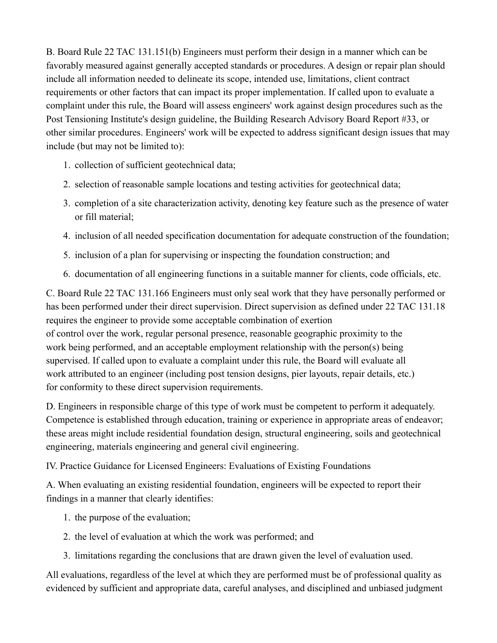B. Board Rule 22 TAC 131.151(b) Engineers must perform their design in a manner which can be favorably measured against generally accepted standards or procedures. A design or repair plan should include all information needed to delineate its scope, intended use, limitations, client contract requirements or other factors that can impact its proper implementation. If called upon to evaluate a complaint under this rule, the Board will assess engineers' work against design procedures such as the Post Tensioning Institute's design guideline, the Building Research Advisory Board Report #33, or other similar procedures. Engineers' work will be expected to address significant design issues that may include (but may not be limited to):

- 1. collection of sufficient geotechnical data;
- 2. selection of reasonable sample locations and testing activities for geotechnical data;
- 3. completion of a site characterization activity, denoting key feature such as the presence of water or fill material;
- 4. inclusion of all needed specification documentation for adequate construction of the foundation;
- 5. inclusion of a plan for supervising or inspecting the foundation construction; and
- 6. documentation of all engineering functions in a suitable manner for clients, code officials, etc.

C. Board Rule 22 TAC 131.166 Engineers must only seal work that they have personally performed or has been performed under their direct supervision. Direct supervision as defined under 22 TAC 131.18 requires the engineer to provide some acceptable combination of exertion of control over the work, regular personal presence, reasonable geographic proximity to the work being performed, and an acceptable employment relationship with the person(s) being supervised. If called upon to evaluate a complaint under this rule, the Board will evaluate all work attributed to an engineer (including post tension designs, pier layouts, repair details, etc.) for conformity to these direct supervision requirements.

D. Engineers in responsible charge of this type of work must be competent to perform it adequately. Competence is established through education, training or experience in appropriate areas of endeavor; these areas might include residential foundation design, structural engineering, soils and geotechnical engineering, materials engineering and general civil engineering.

IV. Practice Guidance for Licensed Engineers: Evaluations of Existing Foundations

A. When evaluating an existing residential foundation, engineers will be expected to report their findings in a manner that clearly identifies:

- 1. the purpose of the evaluation;
- 2. the level of evaluation at which the work was performed; and
- 3. limitations regarding the conclusions that are drawn given the level of evaluation used.

All evaluations, regardless of the level at which they are performed must be of professional quality as evidenced by sufficient and appropriate data, careful analyses, and disciplined and unbiased judgment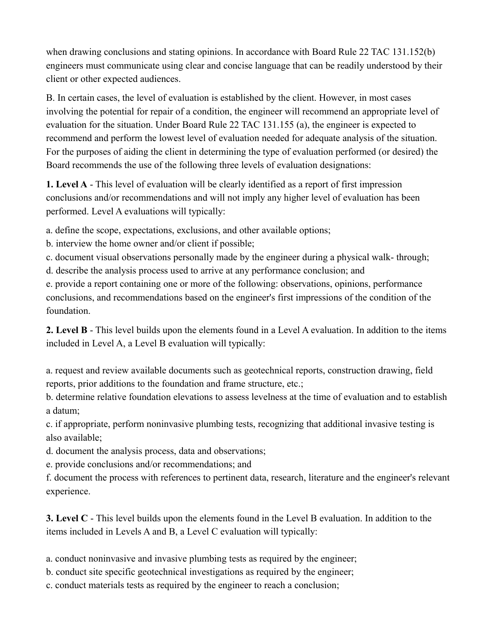when drawing conclusions and stating opinions. In accordance with Board Rule 22 TAC 131.152(b) engineers must communicate using clear and concise language that can be readily understood by their client or other expected audiences.

B. In certain cases, the level of evaluation is established by the client. However, in most cases involving the potential for repair of a condition, the engineer will recommend an appropriate level of evaluation for the situation. Under Board Rule 22 TAC 131.155 (a), the engineer is expected to recommend and perform the lowest level of evaluation needed for adequate analysis of the situation. For the purposes of aiding the client in determining the type of evaluation performed (or desired) the Board recommends the use of the following three levels of evaluation designations:

**1. Level A** - This level of evaluation will be clearly identified as a report of first impression conclusions and/or recommendations and will not imply any higher level of evaluation has been performed. Level A evaluations will typically:

a. define the scope, expectations, exclusions, and other available options;

b. interview the home owner and/or client if possible;

c. document visual observations personally made by the engineer during a physical walk- through;

d. describe the analysis process used to arrive at any performance conclusion; and

e. provide a report containing one or more of the following: observations, opinions, performance conclusions, and recommendations based on the engineer's first impressions of the condition of the foundation.

**2. Level B** - This level builds upon the elements found in a Level A evaluation. In addition to the items included in Level A, a Level B evaluation will typically:

a. request and review available documents such as geotechnical reports, construction drawing, field reports, prior additions to the foundation and frame structure, etc.;

b. determine relative foundation elevations to assess levelness at the time of evaluation and to establish a datum;

c. if appropriate, perform noninvasive plumbing tests, recognizing that additional invasive testing is also available;

d. document the analysis process, data and observations;

e. provide conclusions and/or recommendations; and

f. document the process with references to pertinent data, research, literature and the engineer's relevant experience.

**3. Level C** - This level builds upon the elements found in the Level B evaluation. In addition to the items included in Levels A and B, a Level C evaluation will typically:

a. conduct noninvasive and invasive plumbing tests as required by the engineer;

b. conduct site specific geotechnical investigations as required by the engineer;

c. conduct materials tests as required by the engineer to reach a conclusion;